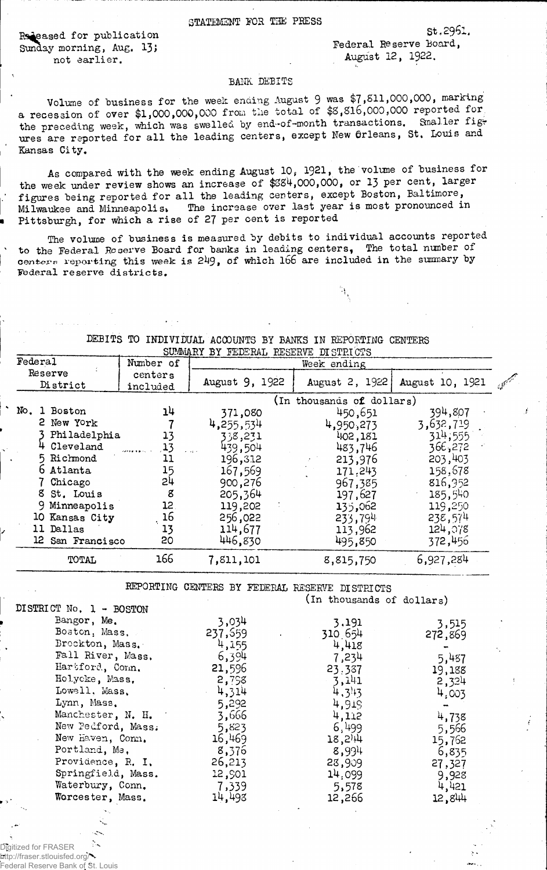Released for publication Sunday morning, Aug. 13) not earlier,

Federal Reserve Board, August 12, 1922.

St ,2961.

## BANK DEBITS

Volume of business for the week ending August 9 was \$7,511,000,000, marking a recession of over \$1,000,000,000 from the total of \$S,816,000,000 reported for the preceding week, which was swelled by end-of-month transactions. Smaller figures are reported for all the leading centers, except New Orleans, St. Louis and Kansas City.

As compared with the week ending August 10, 1921, the volume of business for the week under review shows an increase of \$384,000,000, or 13 per cent, larger figures being reported for all the leading centers, except Boston, Baltimore, Milwaukee and Minneapolis. The increase over last year is most pronounced in Pittsburgh, for which a rise of 27 per cent is reported

The volume of business is measured by debits to individual accounts reported ' to the Federal Roserve Board for banks in leading centers, The total number of centers reporting this week is 249, of which 166 are included in the summary by Federal reserve districts.

| SOMMARI BI FEDERAL RESERVE DISTRICTS |                  |           |                           |                |                 |                        |
|--------------------------------------|------------------|-----------|---------------------------|----------------|-----------------|------------------------|
| Federal                              |                  | Number of | Week ending               |                |                 |                        |
| Reserve                              |                  | centers   |                           |                |                 |                        |
| District                             |                  | included  | August 9, 1922            | August 2, 1922 | August 10, 1921 | $\mathcal{A}^{\prime}$ |
|                                      |                  |           | (In thousands of dollars) |                |                 |                        |
|                                      | No. 1 Boston     | 14        | 371,080                   | 450,651        | 394,807         |                        |
|                                      | 2 New York       |           | 4,255,534                 | 4,950,273      | 3,632,719       |                        |
|                                      | Philadelphia     | 13        | 338,231                   | 402,181        | 314,555         |                        |
|                                      | Cleveland        | 13        | 439,504                   | 483,746        | 366,272         |                        |
|                                      | 5 Richmond       | 11        | 196,312                   | 213,976        | 203,403         |                        |
|                                      | 6 Atlanta        | 15        | 167,569                   | 171,243        | 158,678         |                        |
|                                      | Chicago          | 24        | 900,276                   | 967,385        | 816,952         |                        |
|                                      | 8 St. Louis      | g         | 205,364                   | 197,627        | 185,540         |                        |
|                                      | 9 Minneapolis    | 12        | 119,202                   | 135,062        | 119,250         |                        |
|                                      | 10 Kansas City   | 16        | 256,022                   | 233,794        | 238,574         |                        |
|                                      | 11 Dallas        | 13        | 114,677                   | 113,962        | 124,078         |                        |
|                                      | 12 San Francisco | 20        | 446,830                   | 495,850        | 372,456         |                        |
|                                      | TOTAL            | 166       | 7,811,101                 | 8,815,750      | 6,927,284       |                        |

DEBITS TO INDIVIDUAL ACCOUNTS BY BANKS IN REPORTING CENTERS

EEPORTING CENTERS BY FEDERAL RESERVE DISTRICTS

(in thousands of dollars)

| DISTRICT No. 1 - BOSTON |         |                      |         |
|-------------------------|---------|----------------------|---------|
| Bangor, Me.             | 3,034   | 3,191                | 3,515   |
| Boston, Mass.           | 237,559 | 310 654              | 272,869 |
| Brockton, Mass.         | 4,155   | 4,418                |         |
| Fall River, Mass.       | 6,394   | 7,234                | 5,487   |
| Hartford, Conn.         | 21,596  | 23.387               | 19,188  |
| Holycke, Mass,          | 2,758   | 3,141                | 2,324   |
| Lowell, Mass,           | 4,314   | 4,313                | 4,003   |
| Lynn, Mass.             | 5,292   | 4,919                |         |
| Manchester, N. H.       | 3,666   | 4,112                | 4,738   |
| New Pedford, Mass.      | 5,823   | 6,499                | 5,566   |
| New Haven, Conn.        | 16,469  | $18,2$ <sup>14</sup> | 15,762  |
| Portland, Me.           | 8,376   | 8,994                | 6,835   |
| Providence, R. I.       | 26,213  | 28,909               | 27,327  |
| Springfield, Mass.      | 12,901  | 14.099               | 9,928   |
| Waterbury, Conn.        | 7,339   | 5,578                | 4,421   |
| Worcester, Mass.        | 14,493  | 12,266               | 12,844  |
|                         |         |                      |         |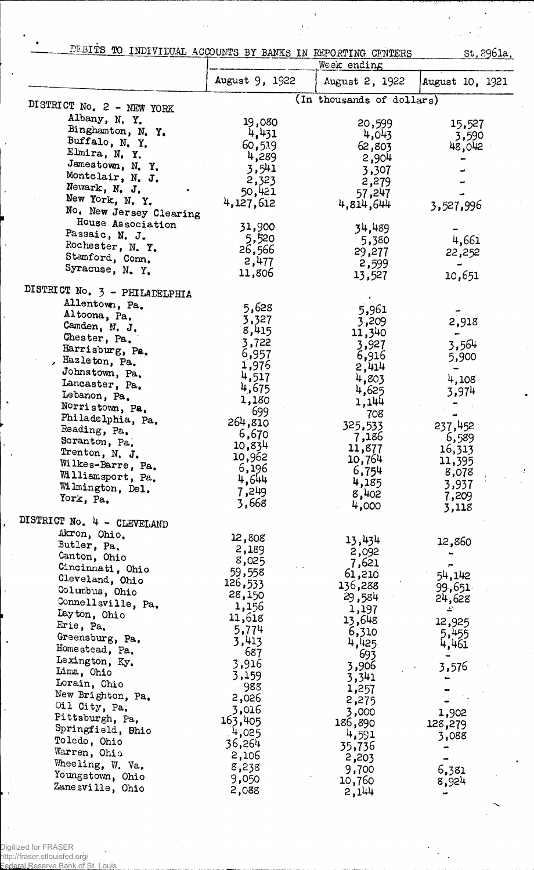| DEBITS TO INDIVIDUAL ACCOUNTS BY BANKS IN REPORTING CENTERS |                     | Week ending               | st, 2961a.       |
|-------------------------------------------------------------|---------------------|---------------------------|------------------|
|                                                             | August 9, 1922      | August 2, 1922            |                  |
|                                                             |                     |                           | August 10, 1921  |
| DISTRICT No. 2 - NEW YORK                                   |                     | (In thousands of dollars) |                  |
| Albany, N.Y.                                                | 19,080              | 20,599                    | 15,527           |
| Binghamton, N. Y.                                           | 4,431               | 4,043                     | 3,590            |
| Buffalo, N. Y.                                              | 60,519              | 62,803                    | 48,042           |
| Elmira, N.Y.<br>Jamestown, N. Y.                            | 4,289               | 2,904                     |                  |
| Montclair, N. J.                                            | 3,541               | 3,307                     |                  |
| Newark, N. J.                                               | 2,323               | 2,279                     |                  |
| New York, N. Y.                                             | 50,421<br>4,127,612 | 57,247<br>4,814,644       |                  |
| No. New Jersey Clearing                                     |                     |                           | 3,527,996        |
| House Association                                           | 31,900              | 34,489                    |                  |
| Passaic, N. J.                                              | 5,520               | 5,380                     | 4,661            |
| Rochester, N. Y.                                            | 26,566              | 29,277                    | 22,252           |
| Stamford, Conn.                                             | 2,477               | 2,599                     |                  |
| Syracuse, N. Y.                                             | 11,806              | 13,527                    | 10,651           |
| DISTRICT No. 3 - PHILADELPHIA                               |                     |                           |                  |
| Allentown, Pa.                                              |                     |                           |                  |
| Altoona, Pa.                                                | 5,628<br>3,327      | 5,961                     |                  |
| Camden, N. J.                                               | 8,415               | 3,209                     | 2,918            |
| Chester, Pa.                                                | 3,722               | 11,340<br>3,927           | 3,564            |
| Harrisburg, Pa.                                             | 6,957               | 6,916                     | 5,900            |
| Hazleton, Pa.                                               | 1,976               | 2,414                     |                  |
| Johnstown, Pa.                                              | 4,517               | 4,803                     | 4,108            |
| Lancaster, Pa.                                              | 4,675               | 4,625                     | 3,974            |
| Lebanon, Pa.<br>Norristown, Pa.                             | 1,180               | 1,144                     |                  |
| Philadelphia, Pa.                                           | 699                 | 708                       |                  |
| Reading, Pa.                                                | 264,810             | 325,533                   | 237,452          |
| Scranton, Pa.                                               | 6,670               | 7,186                     | 6,589            |
| Trenton, N. J.                                              | 10,834<br>10,962    | 11,877                    | 16,313           |
| Wilkes-Barre, Pa.                                           | 6,196               | 10,764                    | 11,395           |
| Williamsport, Pa.                                           | 4,644               | 6,754<br>4,185            | 8,078            |
| Wilmington, Del.                                            | 7,249               | 8,402                     | 3,937<br>7,209   |
| York, Pa.                                                   | 3,668               | 4,000                     | 3,118            |
| DISTRICT No. 4 - CLEVELAND                                  |                     |                           |                  |
| Akron, Ohio.                                                |                     |                           |                  |
| Butler, Pa.                                                 | 12,808<br>2,189     | 13,434                    | 12,860           |
| Canton, Ohio                                                | 8,025               | 2,092                     |                  |
| Cincinnati, Ohio                                            | 59,558              | 7,621<br>61,210           |                  |
| Cleveland, Ohio                                             | 126,533             | 136,288                   | 54,142<br>99,651 |
| Columbus, Ohio                                              | 28,150              | 29,584                    | 24,628           |
| Connellsville, Pa.                                          | 1,156               | 1,197                     | 48               |
| Dayton, Ohio                                                | 11,618              | 13,648                    | 12,925           |
| Erie, Pa.<br>Greensburg, Pa.                                | 5,774               | 6,310                     | 5,455            |
| Homestead, Pa.                                              | 3,413               | 4,425                     | 4,461            |
| Lexington, Ky.                                              | 687                 | 693                       |                  |
| Lima, Ohio                                                  | 3,916<br>3,159      | 3,906                     | 3,576            |
| Lorain, Ohio                                                | 988                 | 3,341<br>1,257            |                  |
| New Brighton, Pa.                                           | 2,026               | 2,275                     |                  |
| Oil City, Pa.                                               | 3,016               | 3,000                     | 1,902            |
| Pittsburgh, Pa,                                             | 163,405             | 186,890                   | 128,279          |
| Springfield, Ohio                                           | 4,025               | 4,591                     | 3,088            |
| Toledo, Ohio                                                | 36,264              | 35,736                    |                  |
| Warren, Ohio<br>Wheeling, W. Va.                            | 2,106               | 2,203                     |                  |
| Youngstown, Ohio                                            | 8,238               | 9,700                     | 6,381            |
| Zanesville, Ohio                                            | 9,050               | 10,760                    | 8,924            |
|                                                             | 2,088               | 2,144                     |                  |

 $\cdot$  !

 $\ddot{\phantom{a}}$ 

l,

 $\ddot{\phantom{1}}$ 

 $\ddot{\phantom{a}}$ 

 $\bar{\phantom{a}}$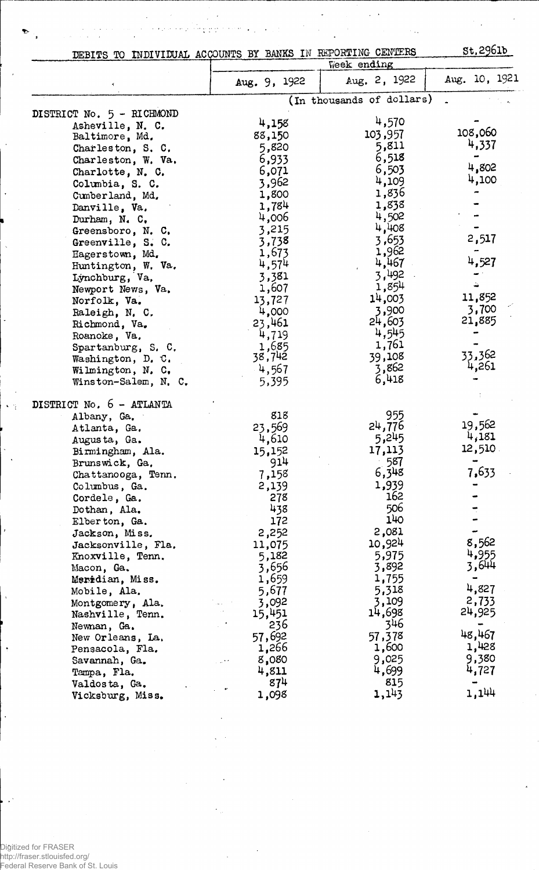| DEBITS TO INDIVIDUAL ACCOUNTS BY BANKS IN REPORTING CENTERS |                |                             | st.2961b        |
|-------------------------------------------------------------|----------------|-----------------------------|-----------------|
|                                                             | Aug. 9, 1922   | Week ending<br>Aug. 2, 1922 | Aug. 10, 1921   |
|                                                             |                | (In thousands of dollars)   |                 |
| DISTRICT No. 5 - RICHMOND                                   |                |                             |                 |
| Asheville, N. C.                                            | 4,158          | 4,570                       | 108,060         |
| Baltimore, Md.                                              | 88,150         | 103,957<br>5,811            | 4,337           |
| Charleston, S. C.                                           | 5,820          | 6,518                       |                 |
| Charleston, W. Va.                                          | 6,933<br>6,071 | 6,503                       | 4,802           |
| Charlotte, N. C.                                            | 3,962          | 4,109                       | 4,100           |
| Columbia, S. C.<br>Cumberland, Md.                          | 1,800          | 1,836                       |                 |
| Danville, Va.                                               | 1,784          | 1,838                       |                 |
| Durham, $N_{\star}$ C.                                      | 4,006          | 4,502                       |                 |
| Greensboro, N. C.                                           | 3,215          | 4,408                       |                 |
| Greenville, S. C.                                           | 3,738          | 3,653                       | 2,517           |
| Hagerstown, Md.                                             | 1,673          | 1,962                       |                 |
| Huntington, W. Va.                                          | 4,574          | 4,467                       | 4,527           |
| Lynchburg, Va.                                              | 3,381          | 3,492                       |                 |
| Newport News, Va.                                           | 1,607          | 1,854                       |                 |
| Norfolk, Va.                                                | 13,727         | 14,003                      | 11,852          |
| Raleigh, N. C.                                              | 4,000          | 3,900                       | 3,700           |
| Richmond, Va.                                               | 23,461         | 24,603                      | 21,885          |
| Roanoke, Va.                                                | 4,719          | 4,545                       |                 |
| Spartanburg, S. C.                                          | 1,685          | 1,761                       |                 |
| Washington, D. C.                                           | 38,742         | 39,108                      | 33,362<br>4,261 |
| Wilmington, N. C.                                           | 4,567          | 3,862<br>6,418              |                 |
| Winston-Salem, N. C.                                        | 5,395          |                             |                 |
| DISTRICT No. 6 - ATLANTA                                    |                |                             |                 |
| Albany, Ga.                                                 | 818            | 955                         | 19,562          |
| Atlanta, Ga.                                                | 23,569         | 24,776                      | 4,181           |
| Augusta, Ga.                                                | 4,610          | 5,245                       | 12,510          |
| Birmingham, Ala.                                            | 15,152         | 17,113<br>587               |                 |
| Brunswick, Ga.                                              | 914            | 6,348                       | 7,633           |
| Chattanooga, Tenn.                                          | 7,158          | 1,939                       |                 |
| Columbus, Ga.<br>Cordele, Ga.                               | 2,139<br>278   | 162                         |                 |
| Dothan, Ala.                                                | 438            | 506                         |                 |
| Elberton, Ga.                                               | 172            | 140                         |                 |
| Jackson, Miss.                                              | 2,252          | 2,081                       |                 |
| Jacksonville, Fla.                                          | 11,075         | 10,924                      | 8,562           |
| Knoxville, Tenn.                                            | 5,182          | 5,975                       | 4,955           |
| Macon, Ga.                                                  | 3,656          | 3,892                       | 3,644           |
| Meridian, Miss.                                             | 1,659          | 1,755                       |                 |
| Mobile, Ala.                                                | 5,677          | 5,318                       | 4,827           |
| Montgomery, Ala.                                            | 3,092          | 3,109                       | 2,733           |
| Nashville, Tenn.                                            | 15,451         | 14,698                      | 24,925          |
| Newnan, Ga.                                                 | 236            | 346                         |                 |
| New Orleans, La.                                            | 57,692         | 57,378                      | 48,467          |
| Pensacola, Fla.                                             | 1,266          | 1,600                       | 1,428           |
| Savannah, Ga.                                               | 8,080          | 9,025                       | 9,380           |
| Tampa, Fla.                                                 | 4,811          | 4,699                       | 4,727           |
| Valdosta, Ga.                                               | 874            | 815<br>1,143                | 1,144           |
| Vicksburg, Miss.                                            | 1,098          |                             |                 |

 $\hat{\gamma}_{\mu}$ 

Digitized for FRASER http://fraser.stlouisfed.org/ Federal Reserve Bank of St. Louis

 $\overline{\phantom{a}}$ 

 $\sim$   $\gamma$ 

÷,

 $\ddot{\cdot}$ 

 $\mathbf{v}^{\prime}$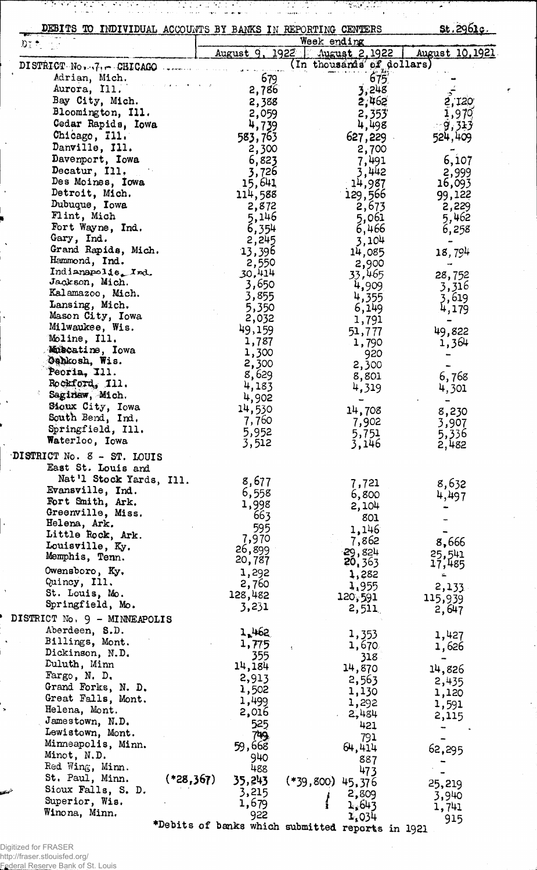| DEBITS TO INDIVIDUAL ACCOUNTS BY BANKS IN REPORTING CENTERS |                                                  |                    | <u>st.2961c.</u>          |                 |
|-------------------------------------------------------------|--------------------------------------------------|--------------------|---------------------------|-----------------|
| DT *                                                        |                                                  | Week ending        |                           |                 |
|                                                             | August 9, 1922                                   |                    | August 2, 1922            | August 10, 1921 |
| DISTRICT $No7, -$ CHICAGO                                   |                                                  |                    | (In thousands of dollars) |                 |
| Adrian, Mich.                                               |                                                  | 679                | 675'                      |                 |
| Aurora, Ill.                                                |                                                  | 2,786              | 3,248                     |                 |
| Bay City, Mich.                                             |                                                  | 2,388              | 2,462                     | 2,120           |
| Bloomington, Ill.                                           |                                                  | 2,059              | 2,353                     | 1,979           |
| Cedar Rapids, Iowa                                          |                                                  | 4,739              | 4,498                     | - 9,313         |
| Chicago, Ill.                                               | 583,763                                          |                    | 627,229                   | 524,409         |
| Danville, Ill.                                              |                                                  | 2,300              | 2,700                     |                 |
| Davenport, Iowa                                             |                                                  | 6,823              | 7,491                     | 6,107           |
| Decatur, Ill.                                               |                                                  | 3,726              | 3,442                     | 2,999           |
| Des Moines, Iowa                                            | 15,641                                           |                    | 14,987                    | 16,093          |
| Detroit, Mich.                                              | 114,588                                          |                    | 129,566                   | 99,122          |
| Dubuque, Iowa<br>Flint, Mich                                |                                                  | 2,872              | 2,673                     | 2,229           |
| Fort Wayne, Ind.                                            |                                                  | 5,146              | 5,061                     | 5,462           |
| Gary, Ind.                                                  |                                                  | 6,354<br>2,245     | 6,466<br>3,104            | 6,258           |
| Grand Rapids, Mich.                                         | 13,396                                           |                    | 14,085                    |                 |
| Hammond, Ind.                                               |                                                  | 2,550              | 2,900                     | 18,794          |
| Indianapolis. Ind.                                          | 30,414                                           |                    | 33,465                    | 28,752          |
| Jackson, Mich.                                              |                                                  | 3,650              | 4,909                     | 3,316           |
| Kalamazoo, Mich.                                            |                                                  | 3,855              | 4,355                     | 3,619           |
| Lansing, Mich.                                              |                                                  | 5,350              | 6,149                     | 4,179           |
| Mason City, Iowa                                            |                                                  | 2,032              | 1,791                     |                 |
| Milwaukee, Wis.                                             | 49,159                                           |                    | 51,777                    | 49,822          |
| Moline, Ill.                                                | 1,787                                            |                    | 1,790                     | 1,364           |
| Muscatine, Iowa                                             | 1,300                                            |                    | 920                       |                 |
| Gehkosh, Wis.<br>Peoria, Ill.                               | 2,300                                            |                    | 2,300                     |                 |
| Rockford, 111.                                              | 8,629                                            |                    | 8,801                     | 6,768           |
| Saginaw, Mich.                                              | 4,183                                            |                    | 4,319                     | 4,301           |
| Sioux City, Iowa                                            | 4,902                                            |                    |                           |                 |
| South Bend, Ind.                                            | 14,530<br>7,760                                  |                    | 14,708                    | 8,230           |
| Springfield, Ill.                                           | 5,952                                            |                    | 7,902                     | 3,907           |
| Waterloo, Iowa                                              | 3,512                                            |                    | 5,751<br>3,146            | 5,336<br>2,482  |
| DISTRICT No. 8 - ST. LOUIS                                  |                                                  |                    |                           |                 |
| East St. Louis and                                          |                                                  |                    |                           |                 |
| Nat'l Stock Yards, Ill.                                     | 8,677                                            |                    |                           |                 |
| Evansville, Ind.                                            | 6,558                                            |                    | 7,721                     | 8,632           |
| Fort Smith, Ark.                                            | 1,998                                            |                    | 6,800<br>2,104            | 4,497           |
| Greenville, Miss.                                           |                                                  | 663                | 801                       |                 |
| Helena, Ark.                                                |                                                  | 595                | 1,146                     |                 |
| Little Rock, Ark.                                           | 7,970                                            |                    | 7,862                     | 8,666           |
| Louisville, Ky.                                             | 26,899                                           |                    | $-29,824$                 | 25,541          |
| Memphis, Tenn.                                              | 20,787                                           |                    | 20, 363                   | 17,485          |
| Owensboro, Ky.                                              | 1,292                                            |                    | 1,282                     | ∸               |
| Quincy, Ill.                                                | 2,760                                            |                    | 1,955                     | 2,133           |
| St. Louis, Mo.                                              | 128,482                                          |                    | 120,591                   | 115,939         |
| Springfield, Mo.                                            | 3,231                                            |                    | 2,511                     | 2,647           |
| DISTRICT No. 9 - MINNEAPOLIS                                |                                                  |                    |                           |                 |
| Aberdeen, S.D.                                              | 1.462                                            |                    | 1,353                     | 1,427           |
| Billings, Mont.                                             | 1,775                                            | ť                  | 1,670                     | 1,626           |
| Dickinson, N.D.<br>Duluth, Minn                             |                                                  | 355                | 318                       | $\blacksquare$  |
| Fargo, N. D.                                                | 14,184                                           |                    | 14,870                    | 14,826          |
| Grand Forks, N. D.                                          | 2,913                                            |                    | 2,563                     | 2,435           |
| Great Falls, Mont.                                          | 1,502                                            |                    | 1,130                     | 1,120           |
| Helena, Mont.                                               | 1,499<br>2,016                                   |                    | 1,292                     | 1,591           |
| Jamestown, N.D.                                             |                                                  | 525                | 2,484                     | 2,115           |
| Lewistown, Mont.                                            |                                                  | 749.               | 421                       |                 |
| Minneapolis, Minn.                                          | 59,668                                           |                    | 791<br>64,414             |                 |
| Minot, N.D.                                                 |                                                  | 940                | 887                       | 62,295          |
| Red Wing, Minn.                                             |                                                  | 488                | 473                       |                 |
| St. Paul, Minn.                                             | $(*28,367)$<br>35,243                            | $(*39,800)$ 45,376 |                           | 25,219          |
| Sioux Falls, S. D.                                          | 3,215                                            |                    | 2,809                     | 3,940           |
| Superior, Wis.                                              | 1,679                                            |                    | 1.643                     | 1,741           |
| Winona, Minn.                                               | 922                                              |                    | 1,034                     | 915             |
|                                                             | *Debits of banks which submitted reports in 1921 |                    |                           |                 |

Digitized for FRASER<br>http://fraser.stlouisfed.org/<br>Federal Reserve Bank of St. Louis

 $\ddot{\phantom{0}}$ 

 $\ddot{\phantom{1}}$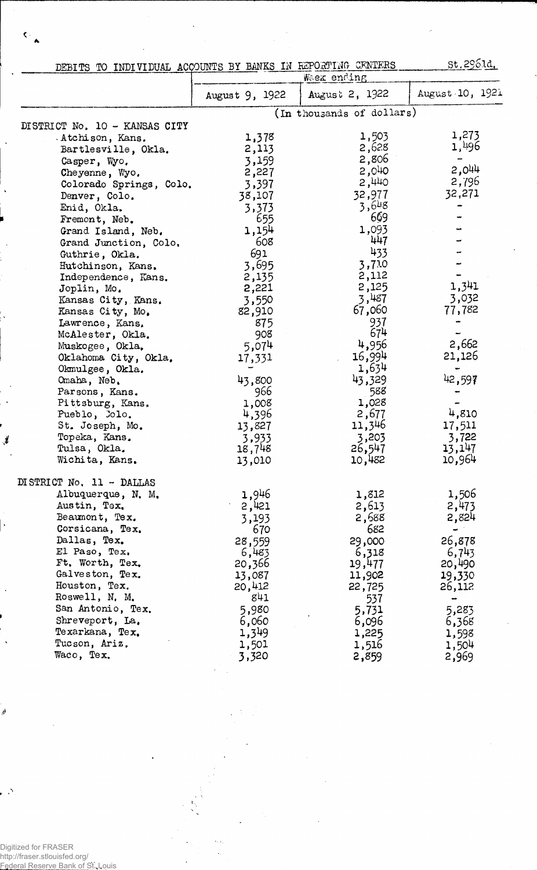|                               | St.290.d.<br>DEBITS TO INDIVIDUAL ACCOUNTS BY BANKS IN REPORTING CENTERS |                           |                          |  |
|-------------------------------|--------------------------------------------------------------------------|---------------------------|--------------------------|--|
|                               |                                                                          | Week ending               |                          |  |
|                               | August 9, 1922                                                           | August 2, 1922            | August 10, 1921          |  |
|                               |                                                                          | (In thousands of dollars) |                          |  |
| DISTRICT No. 10 - KANSAS CITY |                                                                          |                           |                          |  |
| Atchison, Kans.               | 1,378                                                                    | 1,503                     | 1,273                    |  |
| Bartlesville, Okla.           | 2,113                                                                    | 2,628                     | 1,496                    |  |
| Casper, Wyo.                  | 3,159                                                                    | 2,806                     | $\overline{\phantom{a}}$ |  |
| Cheyenne, Wyo.                | 2,227                                                                    | 2,040                     | 2,044                    |  |
| Colorado Springs, Colo.       | 3,397                                                                    | 2,440                     | 2,796                    |  |
| Denver, Colo.                 | 38,107                                                                   | 32,977                    | 32,271                   |  |
| Enid, Okla.                   | 3,373                                                                    | 3,648                     |                          |  |
| Fremont, Neb.                 | 655                                                                      | 669                       |                          |  |
| Grand Island, Neb.            | 1,154                                                                    | 1,093                     |                          |  |
| Grand Junction, Colo.         | 608                                                                      | 447                       |                          |  |
| Guthrie, Okla.                | 691                                                                      | 433                       |                          |  |
| Hutchinson, Kans.             | 3,695                                                                    | 3,710                     |                          |  |
| Independence, Kans.           | 2,135                                                                    | 2,112                     |                          |  |
| Joplin, Mo.                   | 2,221                                                                    | 2,125                     | 1,341                    |  |
| Kansas City, Kans.            | 3,550                                                                    | 3,487                     | 3,032                    |  |
| Kansas City, Mo.              | 82,910                                                                   | 67,060                    | 77,782                   |  |
| Lawrence, Kans,               | 875                                                                      | 937                       |                          |  |
| McAlester, Okla.              | 908                                                                      | 674                       |                          |  |
| Muskogee, Okla,               | 5,074                                                                    | 4,956                     | 2,662                    |  |
| Oklahoma City, Okla.          | 17,331                                                                   | 16,994                    | 21,126                   |  |
| Okmulgee, Okla.               |                                                                          | 1,634                     |                          |  |
| Omaha, Neb.                   | 43,800                                                                   | 43,329                    | 42,597                   |  |
| Parsons, Kans.                | 966                                                                      | 588                       |                          |  |
| Pittsburg, Kans,              | 1,008                                                                    | 1,028                     |                          |  |
| Pueblo, Jolo.                 | 4,396                                                                    | 2,677                     | 4,810                    |  |
| St. Joseph, Mo.               | 13,827                                                                   | 11,346                    | 17,511                   |  |
| Topeka, Kans.                 | 3,933                                                                    | 3,203                     | 3,722                    |  |
| Tulsa, Okla.                  | 18,748                                                                   | 26,547                    | 13,147                   |  |
| Wichita, Kans.                | 13,010                                                                   | 10,482                    | 10,964                   |  |
| DISTRICT No. 11 - DALLAS      |                                                                          |                           |                          |  |
| Albuquerque, N. M.            | 1,946                                                                    | 1,812                     | 1,506                    |  |
| Austin, Tex.                  | 2,421                                                                    | 2,613                     | 2,473                    |  |
| Beaumont, Tex.                | 3,193                                                                    | 2,688                     | 2,824                    |  |
| Corsicana, Tex.               | 670                                                                      | 682                       | $\blacksquare$           |  |
| Dallas, Tex.                  | 28,559                                                                   | 29,000                    | 26,878                   |  |
| El Paso, Tex.                 | 6,483                                                                    | 6,318                     | 6,743                    |  |
| Ft. Worth, Tex.               | 20,366                                                                   | 19,477                    | 20,490                   |  |
| Galveston, Tex.               | 13,087                                                                   | 11,902                    | 19,330                   |  |
| Houston, Tex.                 | 20,412                                                                   | 22,725                    | 26,112                   |  |
| Roswell, N. M.                | 841                                                                      | 537                       |                          |  |
| San Antonio, Tex.             | 5,980                                                                    | 5,731                     | 5,283                    |  |
| Shreveport, La.               | 6,060                                                                    | 6,096                     | 6,368                    |  |
| Texarkana, Tex.               | 1,349                                                                    | 1,225                     | 1,598                    |  |
| Tucson, Ariz,                 | 1,501                                                                    | 1,516                     | 1,504                    |  |
| Waco, Tex.                    | 3,320                                                                    | 2,859                     | 2,969                    |  |

 $\ddot{\cdot}$ k,

 $\overline{a}$ 

Digitized for FRASER http://fraser.stlouisfed.org/ Federal Reserve Bank of St. Louis

J

 $\vec{v}$